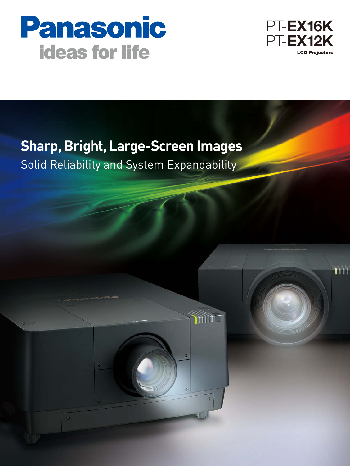



TĤÌ

# **Sharp, Bright, Large-Screen Images**

**TITTI** 

 $\overline{\omega}$ 

Solid Reliability and System Expandability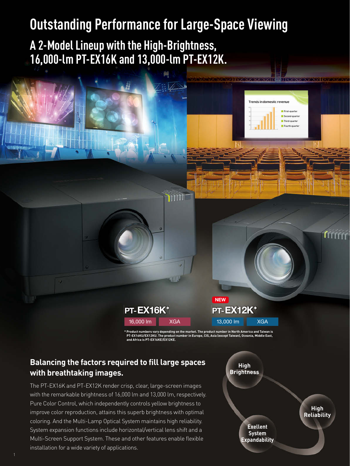# **Outstanding Performance for Large-Space Viewing**

**A 2-Model Lineup with the High-Brightness, 16,000-lm PT-EX16K and 13,000-lm PT-EX12K.**



**PT-EX12K\*** 13,000 lm XGA **NEW**

**\* Product numbers vary depending on the market. The product number in North America and Taiwan is PT-EX16KU/EX12KU. The product number in Europe, CIS, Asia (except Taiwan), Oceania, Middle East, and Africa is PT-EX16KE/EX12KE.**

### **Balancing the factors required to fill large spaces with breathtaking images.**

The PT-EX16K and PT-EX12K render crisp, clear, large-screen images with the remarkable brightness of 16,000 lm and 13,000 lm, respectively. Pure Color Control, which independently controls yellow brightness to improve color reproduction, attains this superb brightness with optimal coloring. And the Multi-Lamp Optical System maintains high reliability. System expansion functions include horizontal/vertical lens shift and a Multi-Screen Support System. These and other features enable flexible installation for a wide variety of applications.



**Trends in domestic revenue** 

E First-ou E Carned music Third-quarter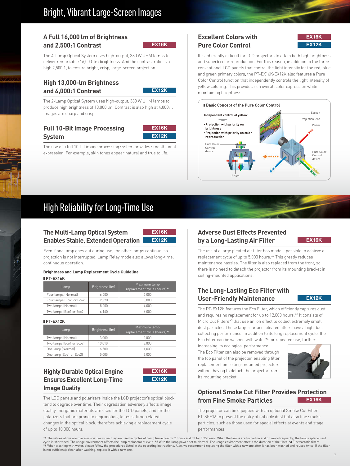#### **A Full 16,000 lm of Brightness and 2,500:1 Contrast**

**EX16K**

The 4-Lamp Optical System uses high-output, 380 W UHM lamps to deliver remarkable 16,000-lm brightness. And the contrast ratio is a high 2,500:1, to ensure bright, crisp, large-screen projection.

#### **High 13,000-lm Brightness and 4,000:1 Contrast**

**EX12K**

The 2-Lamp Optical System uses high-output, 380 W UHM lamps to produce high brightness of 13,000 lm. Contrast is also high at 4,000:1. Images are sharp and crisp.

### **Full 10-Bit Image Processing System**



The use of a full 10-bit image processing system provides smooth tonal expression. For example, skin tones appear natural and true to life.

### **Excellent Colors with Pure Color Control**

| EX16K |  |
|-------|--|
|       |  |
| EX12K |  |
|       |  |

It is inherently difficult for LCD projectors to attain both high brightness and superb color reproduction. For this reason, in addition to the three conventional LCD panels that control the light intensity for the red, blue and green primary colors, the PT-EX16K/EX12K also features a Pure Color Control function that independently controls the light intensity of yellow coloring. This provides rich overall color expression while maintaining brightness.



## High Reliability for Long-Time Use

#### **The Multi-Lamp Optical System Enables Stable, Extended Operation**



Even if one lamp goes out during use, the other lamps continue, so projection is not interrupted. Lamp Relay mode also allows long-time, continuous operation.

#### **Brightness and Lamp Replacement Cycle Guideline** - **PT-EX16K**

| Lamp                      | Brightness (lm) | Maximum lamp<br>replacement cycle (hours)*1 |
|---------------------------|-----------------|---------------------------------------------|
| Four lamps (Normal)       | 16.000          | 2.000                                       |
| Four lamps (Eco1 or Eco2) | 12.320          | 3.000                                       |
| Two lamps (Normal)        | 8.000           | 4.000                                       |
| Two lamps (Eco1 or Eco2)  | 6.160           | 6.000                                       |

- **PT-EX12K**

| Lamp                     | Brightness (lm) | Maximum lamp<br>replacement cycle (hours)*1 |
|--------------------------|-----------------|---------------------------------------------|
| Two lamps (Normal)       | 13.000          | 2.000                                       |
| Two lamps (Eco1 or Eco2) | 10.010          | 3.000                                       |
| One lamp (Normal)        | 6.500           | 4.000                                       |
| One lamp (Eco1 or Eco2)  | 5.005           | 6.000                                       |

#### **Highly Durable Optical Engine Ensures Excellent Long-Time Image Quality**



The LCD panels and polarizers inside the LCD projector's optical block tend to degrade over time. Their degradation adversely affects image quality. Inorganic materials are used for the LCD panels, and for the polarizers that are prone to degradation, to resist time-related changes in the optical block, therefore achieving a replacement cycle of up to 10,000 hours.

### **Adverse Dust Effects Prevented by a Long-Lasting Air Filter EX12K EX16K**

The use of a large pleated air filter has made it possible to achieve a replacement cycle of up to 5,000 hours.\*2 This greatly reduces maintenance hassles. The filter is also replaced from the front, so there is no need to detach the projector from its mounting bracket in ceiling-mounted applications.

### **The Long-Lasting Eco Filter with User-Friendly Maintenance**

#### **EX12K**

The PT-EX12K features the Eco Filter, which efficiently captures dust and requires no replacement for up to 12,000 hours.\*2 It consists of Micro Cut Filters\*<sup>3</sup> that use an ion effect to collect extremely small dust particles. These large-surface, pleated filters have a high dust collecting performance. In addition to its long replacement cycle, the Eco Filter can be washed with water\*4 for repeated use, further increasing its ecological performance.

The Eco Filter can also be removed through the top panel of the projector, enabling filter replacement on ceiling-mounted projectors without having to detach the projector from its mounting bracket.



#### **Optional Smoke Cut Filter Provides Protection from Fine Smoke Particles EX16K**

The projector can be equipped with an optional Smoke Cut Filter ET-SFE16 to prevent the entry of not only dust but also fine smoke particles, such as those used for special effects at events and stage performances.

\*1 The values above are maximum values when they are used in cycles of being turned on for 2 hours and off for 0.25 hours. When the lamps are turned on and off more frequently, the lamp replacement<br>cycle is shortened. The is not sufficiently clean after washing, replace it with a new one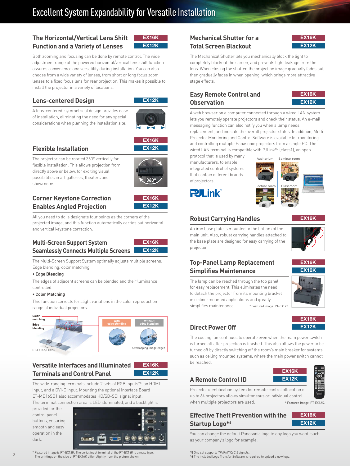## Excellent System Expandability for Versatile Installation

#### **The Horizontal/Vertical Lens Shift Function and a Variety of Lenses**

Both zooming and focusing can be done by remote control. The wide adjustment range of the powered horizontal/vertical lens shift function assures convenience and versatility during installation. You can also choose from a wide variety of lenses, from short or long focus zoom lenses to a fixed focus lens for rear projection. This makes it possible to install the projector in a variety of locations.

#### **Lens-centered Design**

**EX12K**

**EX16K**

**EX12K**

A lens-centered, symmetrical design provides ease of installation, eliminating the need for any special considerations when planning the installation site.



**EX16K**

**EX12K**

#### **Flexible Installation**

The projector can be rotated 360° vertically for flexible installation. This allows projection from directly above or below, for exciting visual possibilities in art galleries, theaters and showrooms.



### **Corner Keystone Correction Enables Angled Projection**



All you need to do is designate four points as the corners of the projected image, and this function automatically carries out horizontal and vertical keystone correction.

### **Multi-Screen Support System Seamlessly Connects Multiple Screens**



The Multi-Screen Support System optimally adjusts multiple screens: Edge blending, color matching.

#### **• Edge Blending**

The edges of adjacent screens can be blended and their luminance controlled.

#### **• Color Matching**

This function corrects for slight variations in the color reproduction range of individual projectors.



### **Versatile Interfaces and Illuminated Terminals and Control Panel**



The wide-ranging terminals include 2 sets of RGB inputs\*5 , an HDMI input, and a DVI-D input. Mounting the optional Interface Board ET-MD16SD1 also accommodates HD/SD-SDI signal input.

The terminal connection area is LED illuminated, and a backlight is

provided for the control panel buttons, ensuring smooth and easy operation in the dark.



\* Featured image is PT-EX12K. The serial input terminal of the PT-EX16K is a male type. The printings on the side of PT-EX16K differ slightly from the picture shown.

#### **Mechanical Shutter for a Total Screen Blackout**



The Mechanical Shutter lets you mechanically block the light to completely blackout the screen, and prevents light leakage from the lens. When closing the shutter, the projection image gradually fades out, then gradually fades in when opening, which brings more attractive stage effects.

#### **Easy Remote Control and Observation**



A web browser on a computer connected through a wired LAN system lets you remotely operate projectors and check their status. An e-mail messaging function can also notify you when a lamp needs replacement, and indicate the overall projector status. In addition, Multi Projector Monitoring and Control Software is available for monitoring and controlling multiple Panasonic projectors from a single PC. The wired LAN terminal is compatible with PJLink™ (class1), an open

protocol that is used by many manufacturers, to enable integrated control of systems that contain different brands of projectors.



**Pll** ink

### **Robust Carrying Handles**

**EX16K**

An iron base plate is mounted to the bottom of the main unit. Also, robust carrying handles attached to the base plate are designed for easy carrying of the projector.



**EX16K**

**EX16K**

**EX12K**

#### **Top-Panel Lamp Replacement Simplifies Maintenance**



in ceiling-mounted applications and greatly simplifies maintenance. \* Featured Image: PT-EX12K.

# **Direct Power Off**

The cooling fan continues to operate even when the main power switch is turned off after projection is finished. This also allows the power to be turned off by directly switching off the room's main breaker for systems, such as ceiling mounted systems, where the main power switch cannot be reached.

### **A Remote Control ID**



Projector identification system for remote control allocation of up to 64 projectors allows simultaneous or individual control when multiple projectors are used.

\* Featured Image: PT-EX12K.

#### **Effective Theft Prevention with the Startup Logo\*6**



You can change the default Panasonic logo to any logo you want, such as your company's logo for example.

\***5** One set supports YPBPR (YCBCR) signals.

\***6** The included Logo Transfer Software is required to upload a new logo.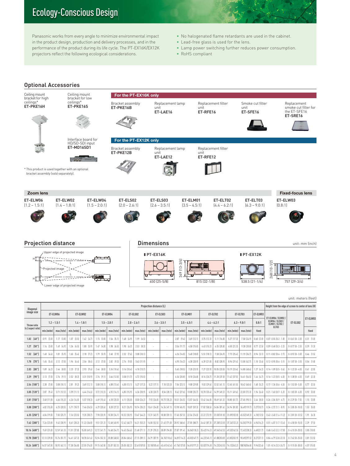# Ecology-Conscious Design

Panasonic works from every angle to minimize environmental impact in the product design, production and delivery processes, and in the performance of the product during its life cycle. The PT-EX16K/EX12K projectors reflect the following ecological considerations.

- No halogenated flame retardants are used in the cabinet.
- Lead-free glass is used for the lens.
- Lamp power switching further reduces power consumption.
- RoHS compliant



|                    |                |                 |                  |                          |                 |                |                 |                |                                                     |                           |                  |                           |                           |                 |                           |                |                | ET-ELW06 / ELW02 /                          |                         |                 |
|--------------------|----------------|-----------------|------------------|--------------------------|-----------------|----------------|-----------------|----------------|-----------------------------------------------------|---------------------------|------------------|---------------------------|---------------------------|-----------------|---------------------------|----------------|----------------|---------------------------------------------|-------------------------|-----------------|
| Throw ratio        | $1.2 - 1.5:1$  |                 | $1.4 - 1.8:1$    |                          | $1.5 - 2.0:1$   |                | $2.0 - 2.6:1$   |                | $2.6 - 3.5:1$                                       |                           | $3.5 - 4.5:1$    |                           | $4.4 - 6.2:1$             |                 | $6.3 - 9.0:1$             |                | 0.8:1          | ELW04 / ELS03 /<br>ELM01 / ELT02 /<br>ELT03 | ET-ELS02                | ET-ELWO         |
| [4:3 aspect ratio] | min.(wide)     | max.(tele)      | min.(wide)       | max.(tele)               | min.(wide)      | max.(tele)     | min.(wide)      | max.(tele)     | min.(wide)                                          | max.(tele)                | min.(wide)       | max.(tele)                | min.(wide)                | max.ftelel      | min. (wide)               | max.ftelel     | fixed          |                                             |                         | fixed           |
| $1.02$ $[40"]$     | $0.91$ $(3.0)$ | $1.17$ $(3.8)$  | $1.07$ $(3.5)$   | 1.42 [4.7]               | $1.15$ $(3.8)$  | 1.56 [5.1]     | $1.48$ $(4.9)$  | $1.99$ $(6.5)$ |                                                     |                           | $2.87$ $[9.4]$   | 3.69 (12.1)               | 3.75 (12.3)               | 5.11 (16.8)     | 5.27 (17.3)               | 7.58 (24.9)    | $0.60$ $(2.0)$ | $0.07 - 0.55$ $[0.2 - 1.8]$                 | $0 - 0.61$ $(0 - 2.0)$  | $0.31$ $(1.0)$  |
| $1.27$ [50"]       | $1.16$ $(3.8)$ | $1.49$ $[4.9]$  | $1.36$ $[4.5]$   | $1.80$ $(5.9)$           | $1.47$ $[4.8]$  | 1.98 [6.5]     | 1.90 [6.2]      | $2.53$ $[8.3]$ |                                                     |                           | 3.56 (11.7)      | $4.58$ $(15.0)$           | 4.63 (15.2)               | $6.35$ $(20.8)$ | $6.50$ $(21.3)$           | 9.38 (30.8)    | $0.77$ $(2.5)$ | $0.09 - 0.68$ $[0.3 - 2.2]$                 | $0 - 0.77$ $(0 - 2.5)$  | $0.39$ $(1.3)$  |
| $1.52$ $[60"]$     | 140[46]        | 181 (59)        | $1.65$ $(5.4)$   | $2.18$ $[7.2]$           | 179 [59]        | $2.40$ $[7.9]$ | 2.32 [7.6]      | 3.08 (10.1)    | ÷.                                                  |                           | 4 26 (14 0)      | 5 48 (18 0)               | 5.51 (18.1)               | 7.58 (24.9)     | 7.73 (25.4)               | 11.19 (36.7)   | 0.94 (3.1)     | $0.11 - 0.82$ $(0.4 - 2.7)$                 | $0 - 0.92$ $[0 - 3.0]$  | $0.46$ $(1.5)$  |
| 1.78 [70"]         | $1.65$ $[5.4]$ | $2.12$ $(7.0)$  | 1.94 [6.4]       | 2.56 [8.4]               | $2.12$ $(7.0)$  | $2.82$ $[9.3]$ | $2.74$ $[9.0]$  | 3.63 (11.9)    |                                                     |                           | 4.95 (16.2)      | 6.38 (20.9)               | 6.39 (21.0)               | 8.82 (28.9)     | 8.96 (29.4)               | 13.00 (42.7)   | $1.10$ $(3.6)$ | $0.12 - 0.95$ $[0.4 - 3.1]$                 | $0 - 1.07$ $(0 - 3.5)$  | $0.54$ $(1.8)$  |
| $2.03$ $[80"]$     | $1.89$ $(6.2)$ | 2.44 [8.0]      | $2.23$ $[7.3]$   | $2.93$ $(9.6)$           | $2.44$ $[8.0]$  | 3.24 (10.6)    | 3.16 (10.4)     | 4.18 (13.7)    |                                                     |                           | 5.65 (18.5)      | 7.28 (23.9)               | 7.27 (23.9)               | 10.05 (33.0)    | 10.19 (33.4)              | 14.80 [48.6]   | $1.27$ $[4.2]$ | $0.14 - 1.09$ $[0.5 - 3.6]$                 | $0 - 1.22$ $(0 - 4.0)$  | $0.61$ $(2.0)$  |
| 2.29 [90"]         | $2.13$ $[7.0]$ | $2.76$ $[9.1]$  | $2.52$ $[8.3]$   | $3.31$ $[10.9]$          | $2.76$ [9.1]    | 3.66 (12.0)    | 3.58 (11.7)     | 4.72 (15.5)    | $\sim$                                              |                           | $6.34$ $[20.8]$  | 8.18 (26.8)               | 8.14 (26.7)               | 11.28 (37.0)    | 11.42 (37.5)              | 16.61 (54.5)   | $1.44$ $[4.7]$ | $0.16 - 1.23$ $[0.5 - 4.0]$                 | $0 - 1.38$ $[0 - 4.5]$  | $0.69$ $(2.3)$  |
| 2.54 [100"]        | 2 38 [78]      | 3.08 (10.1)     | $2.81$ $[9.2]$   | 3.69 (12.1)              | 3.08 (10.1)     | 4.08 (13.4)    | 4.00 (13.1)     | 5.27 (17.3)    | 5.22 (17.1)                                         | $7.10$ $(23.3)$           | 7.04 [23.1]      | 9 08 (29 8)               | $9.02$ $[29.6]$           | 12.52 (41.1)    | $12.65$ $(41.5)$          | 18.42 [60.4]   | $1.60$ $[5.2]$ | $0.17 - 1.36$ $[0.6 - 4.5]$                 | $0 - 1.53$ $(0 - 5.0)$  | 077 125         |
| 3.05 [120"]        | $2.87$ $[9.4]$ | 3.71 (12.2)     | 3.39 [11.1]      | 4.44 [14.6]              | 3.72 (12.2)     | 4.92 (16.1)    | 4.85 (15.9)     | 6.36 (20.9)    | 6.30 (20.7)                                         | 8.56 (28.1)               | 8.42 [27.6]      | 10.88 (35.7)              | 10.78 (35.4)              | 14.99 (49.2)    | 15.11 (49.6)              | 22.03 [72.3]   | 1.94 (6.4)     | $0.21 - 1.63$ $[0.7 - 5.3]$                 | $0 - 1.83$ $(0 - 6.0)$  | $0.92$ (3.0)    |
| 3.81 [150"]        | 3.60 (11.8)    | 4.66 [15.3]     | 4.26 (14.0)      | 5.57 (18.3)              | 4.69 (15.4)     | $6.18$ (20.3)  | $6.11$ $(20.0)$ | 8.00 (26.2)    | 7.92 (26.0)                                         | 10.73 (35.2)              | 10.51 (34.5)     | 13.57 (44.5)              | 13.42 (44.0)              | 18.69 [61.3]    | 18.80 (61.7)              | 27.45 (90.1)   | 2.44 [8.0]     | $0.26 - 2.04$ $[0.9 - 6.7]$                 | $0 - 2.29$ $(0 - 7.5)$  | $.15$ $(3.8)$   |
| 5.08 [200"]        | 4.82 (15.8)    | $6.25$ $[20.5]$ | 5.71 (18.7)      | 7.46 [24.5]              | $6.29$ $[20.6]$ | 8.28 (27.2)    | 8.21 (26.9)     | 10.74 (35.2)   | 10.61 (34.8)                                        | 14.36 [47.1]              | 13.98 (45.9)     | 18.07 (59.3)              | 17.82 (58.5)              | 24.86 [81.6]    | 24.94 [81.8]              | 36.49 [119.7]  | 3.27 (10.7)    | $0.34 - 2.72$ $[1.1 - 8.9]$                 | $0 - 3.05(0 - 10.0)$    | $1.53$ $(5.0)$  |
| 6.35 [250"]        | 6.04 (19.8)    | 7.83 (25.7)     | $7.16$ $[23.5]$  | 9.35 (30.7)              | 7.90 (25.9)     | 10.38 (34.1)   | 10.32 (33.9)    | 13.47 (44.2)   | 13.31 (43.7)                                        | 18.00 (59.1)              | $17.45$ $[57.3]$ | 22.56 [74.0]              | 22.22 (72.9)              | 31.03(101.8)    | 31.09(102.0)              | 45.52(149.3)   | (10113.5)      | $0.42 - 3.40$ $[1.4 - 11.2]$                | $0 - 3.81$ $(0 - 12.5)$ | $1.91\quad16.3$ |
| 7.62 [300"]        | 7.26 (23.8)    | $9.42$ $(30.9)$ |                  | 8.61 (28.2) 11.23 (36.8) | $9.51$ $(31.2)$ | 12.48 (40.9)   | 12.42 (40.7)    | 16.21 (53.2)   |                                                     | 16.00 (52.5) 21.63 (71.0) | 20.92 [68.6]     | 27.05 (88.7) 26.62 (87.3) |                           | 37.20(122.0)    | 37.24(122.2) 54.55(179.0) |                | 4.94 [16.2]    | $0.51 - 4.07$ $(1.7 - 13.4)$                | $0 - 4.58$ $[0 - 15.0]$ | 2.29 (7.5)      |
| 10.16 [400"]       | 9.69 [31.8]    | 12.59 [41.3]    | 11.51 [37.8]     | 15.00 (49.2)             | 12.72 (41.7)    | 16.68 (54.7)   | 16.63 (54.6)    | 21.68 (71.1)   | 21.39 (70.2)                                        | 28.89 (94.8)              | 27.87 [91.4]     |                           | 36.04(118.2) 35.42(116.2) | 49.54(162.5)    | 49.53 [162.5]             | 72.62(238.3)   | 6.60 (21.7)    | $0.68 - 5.43$ (2.2 - 17.8)                  | $0 - 6.10 [0 - 20.0]$   | 3.05 (10.0)     |
| 12.70 [500"]       | 12.13 (39.8)   | 15.76 (51.7)    | $14.41$ $[47.3]$ | 18.78 [61.6]             | 15.94 (52.3)    | 20.88 (68.5)   | 20.84 (68.4)    |                | 27.15 (89.1) 26.79 (87.9) 36.15(118.6) 34.81(114.2) |                           |                  |                           | 45.03(147.7) 44.22(145.1) | 61.88(203.0)    | 61.83 (202.9)             | 90.69(297.5)   | 8.27 (27.1     | $0.84 - 6.79$ $(2.8 - 22.3)$                | $0 - 7.62$ $[0 - 25.0]$ | 3.81 (12.5)     |
| 15.24 [600"]       | 14.57 (47.8)   | 18.93 (62.1)    | 17.30 (56.8)     | 22.55 (74.0)             | 19.15 (62.8)    | 25.07 (82.3)   | 25.05 (82.2)    | 32.61(107.0)   | 32.18(105.6) 43.41(142.4)                           |                           | 41.76(137.0)     | 54.01(177.2)              | 53.02(174.0)              | 74.22 (243.5)   | 74.12(243.2)              | 108.76 (356.8) | 9.94(32.6)     | $1.01 - 8.14$ $(3.3 - 26.7)$                | $0 - 9.15 [0 - 30.0]$   | 4.57 (15.0)     |